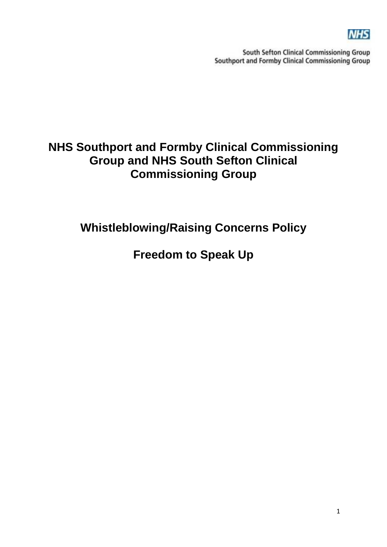

South Sefton Clinical Commissioning Group Southport and Formby Clinical Commissioning Group

# **NHS Southport and Formby Clinical Commissioning Group and NHS South Sefton Clinical Commissioning Group**

**Whistleblowing/Raising Concerns Policy**

**Freedom to Speak Up**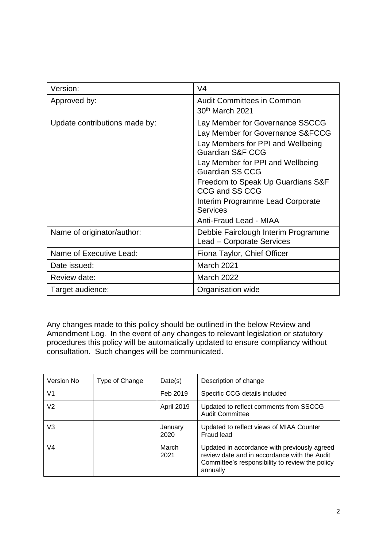| Version:                      | V <sub>4</sub>                                                                                                                                                                                                                                                                                                                                |
|-------------------------------|-----------------------------------------------------------------------------------------------------------------------------------------------------------------------------------------------------------------------------------------------------------------------------------------------------------------------------------------------|
| Approved by:                  | <b>Audit Committees in Common</b><br>30 <sup>th</sup> March 2021                                                                                                                                                                                                                                                                              |
| Update contributions made by: | Lay Member for Governance SSCCG<br>Lay Member for Governance S&FCCG<br>Lay Members for PPI and Wellbeing<br><b>Guardian S&amp;F CCG</b><br>Lay Member for PPI and Wellbeing<br><b>Guardian SS CCG</b><br>Freedom to Speak Up Guardians S&F<br>CCG and SS CCG<br>Interim Programme Lead Corporate<br><b>Services</b><br>Anti-Fraud Lead - MIAA |
| Name of originator/author:    | Debbie Fairclough Interim Programme<br>Lead – Corporate Services                                                                                                                                                                                                                                                                              |
| Name of Executive Lead:       | Fiona Taylor, Chief Officer                                                                                                                                                                                                                                                                                                                   |
| Date issued:                  | March 2021                                                                                                                                                                                                                                                                                                                                    |
| Review date:                  | March 2022                                                                                                                                                                                                                                                                                                                                    |
| Target audience:              | Organisation wide                                                                                                                                                                                                                                                                                                                             |

Any changes made to this policy should be outlined in the below Review and Amendment Log. In the event of any changes to relevant legislation or statutory procedures this policy will be automatically updated to ensure compliancy without consultation. Such changes will be communicated.

| Version No | Type of Change | Date(s)           | Description of change                                                                                                                                       |
|------------|----------------|-------------------|-------------------------------------------------------------------------------------------------------------------------------------------------------------|
| V1         |                | Feb 2019          | Specific CCG details included                                                                                                                               |
| V2         |                | <b>April 2019</b> | Updated to reflect comments from SSCCG<br><b>Audit Committee</b>                                                                                            |
| V3         |                | January<br>2020   | Updated to reflect views of MIAA Counter<br>Fraud lead                                                                                                      |
| V4         |                | March<br>2021     | Updated in accordance with previously agreed<br>review date and in accordance with the Audit<br>Committee's responsibility to review the policy<br>annually |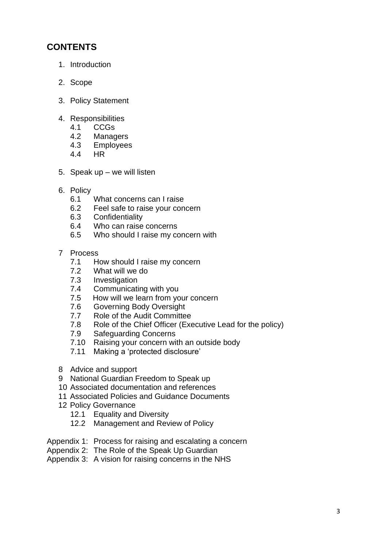# **CONTENTS**

- 1. Introduction
- 2. Scope
- 3. Policy Statement
- 4. Responsibilities
	- 4.1 CCGs
	- 4.2 Managers
	- 4.3 Employees
	- 4.4 HR
- 5. Speak up we will listen
- 6. Policy
	- 6.1 What concerns can I raise
	- 6.2 Feel safe to raise your concern
	- 6.3 Confidentiality
	- 6.4 Who can raise concerns
	- 6.5 Who should I raise my concern with
- 7 Process
	- 7.1 How should I raise my concern
	- 7.2 What will we do
	- 7.3 Investigation
	- 7.4 Communicating with you
	- 7.5 How will we learn from your concern
	- 7.6 Governing Body Oversight
	- 7.7 Role of the Audit Committee
	- 7.8 Role of the Chief Officer (Executive Lead for the policy)
	- 7.9 Safeguarding Concerns
	- 7.10 Raising your concern with an outside body
	- 7.11 Making a 'protected disclosure'
- 8 Advice and support
- 9 National Guardian Freedom to Speak up
- 10 Associated documentation and references
- 11 Associated Policies and Guidance Documents
- 12 Policy Governance
	- 12.1 Equality and Diversity
	- 12.2 Management and Review of Policy
- Appendix 1: Process for raising and escalating a concern
- Appendix 2: The Role of the Speak Up Guardian
- Appendix 3: A vision for raising concerns in the NHS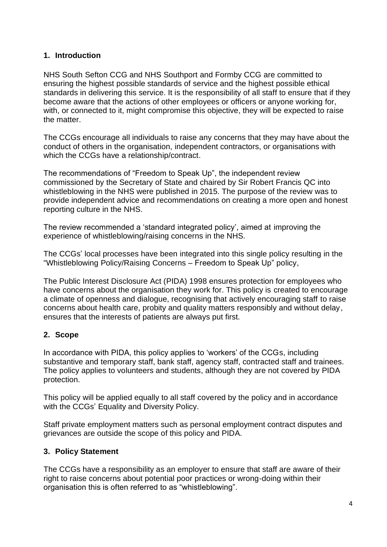#### **1. Introduction**

NHS South Sefton CCG and NHS Southport and Formby CCG are committed to ensuring the highest possible standards of service and the highest possible ethical standards in delivering this service. It is the responsibility of all staff to ensure that if they become aware that the actions of other employees or officers or anyone working for, with, or connected to it, might compromise this objective, they will be expected to raise the matter.

The CCGs encourage all individuals to raise any concerns that they may have about the conduct of others in the organisation, independent contractors, or organisations with which the CCGs have a relationship/contract.

The recommendations of "Freedom to Speak Up", the independent review commissioned by the Secretary of State and chaired by Sir Robert Francis QC into whistleblowing in the NHS were published in 2015. The purpose of the review was to provide independent advice and recommendations on creating a more open and honest reporting culture in the NHS.

The review recommended a 'standard integrated policy', aimed at improving the experience of whistleblowing/raising concerns in the NHS.

The CCGs' local processes have been integrated into this single policy resulting in the "Whistleblowing Policy/Raising Concerns – Freedom to Speak Up" policy,

The Public Interest Disclosure Act (PIDA) 1998 ensures protection for employees who have concerns about the organisation they work for. This policy is created to encourage a climate of openness and dialogue, recognising that actively encouraging staff to raise concerns about health care, probity and quality matters responsibly and without delay, ensures that the interests of patients are always put first.

#### **2. Scope**

In accordance with PIDA, this policy applies to 'workers' of the CCGs, including substantive and temporary staff, bank staff, agency staff, contracted staff and trainees. The policy applies to volunteers and students, although they are not covered by PIDA protection.

This policy will be applied equally to all staff covered by the policy and in accordance with the CCGs' Equality and Diversity Policy.

Staff private employment matters such as personal employment contract disputes and grievances are outside the scope of this policy and PIDA.

#### **3. Policy Statement**

The CCGs have a responsibility as an employer to ensure that staff are aware of their right to raise concerns about potential poor practices or wrong-doing within their organisation this is often referred to as "whistleblowing".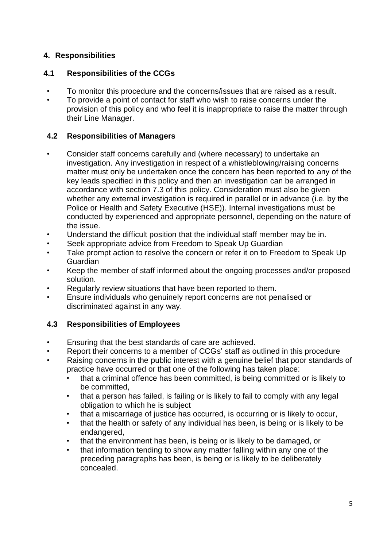# **4. Responsibilities**

# **4.1 Responsibilities of the CCGs**

- To monitor this procedure and the concerns/issues that are raised as a result.
- To provide a point of contact for staff who wish to raise concerns under the provision of this policy and who feel it is inappropriate to raise the matter through their Line Manager.

# **4.2 Responsibilities of Managers**

- Consider staff concerns carefully and (where necessary) to undertake an investigation. Any investigation in respect of a whistleblowing/raising concerns matter must only be undertaken once the concern has been reported to any of the key leads specified in this policy and then an investigation can be arranged in accordance with section 7.3 of this policy. Consideration must also be given whether any external investigation is required in parallel or in advance (i.e. by the Police or Health and Safety Executive (HSE)). Internal investigations must be conducted by experienced and appropriate personnel, depending on the nature of the issue.
- Understand the difficult position that the individual staff member may be in.
- Seek appropriate advice from Freedom to Speak Up Guardian
- Take prompt action to resolve the concern or refer it on to Freedom to Speak Up Guardian
- Keep the member of staff informed about the ongoing processes and/or proposed solution.
- Regularly review situations that have been reported to them.
- Ensure individuals who genuinely report concerns are not penalised or discriminated against in any way.

# **4.3 Responsibilities of Employees**

- Ensuring that the best standards of care are achieved.
- Report their concerns to a member of CCGs' staff as outlined in this procedure
- Raising concerns in the public interest with a genuine belief that poor standards of practice have occurred or that one of the following has taken place:
	- that a criminal offence has been committed, is being committed or is likely to be committed,
	- that a person has failed, is failing or is likely to fail to comply with any legal obligation to which he is subject
	- that a miscarriage of justice has occurred, is occurring or is likely to occur,
	- that the health or safety of any individual has been, is being or is likely to be endangered,
	- that the environment has been, is being or is likely to be damaged, or
	- that information tending to show any matter falling within any one of the preceding paragraphs has been, is being or is likely to be deliberately concealed.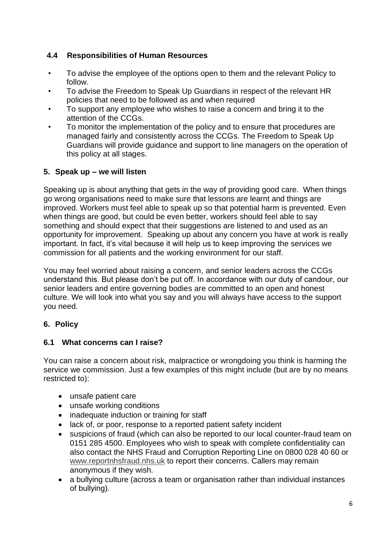# **4.4 Responsibilities of Human Resources**

- To advise the employee of the options open to them and the relevant Policy to follow.
- To advise the Freedom to Speak Up Guardians in respect of the relevant HR policies that need to be followed as and when required
- To support any employee who wishes to raise a concern and bring it to the attention of the CCGs.
- To monitor the implementation of the policy and to ensure that procedures are managed fairly and consistently across the CCGs. The Freedom to Speak Up Guardians will provide guidance and support to line managers on the operation of this policy at all stages.

# **5. Speak up – we will listen**

Speaking up is about anything that gets in the way of providing good care. When things go wrong organisations need to make sure that lessons are learnt and things are improved. Workers must feel able to speak up so that potential harm is prevented. Even when things are good, but could be even better, workers should feel able to say something and should expect that their suggestions are listened to and used as an opportunity for improvement. Speaking up about any concern you have at work is really important. In fact, it's vital because it will help us to keep improving the services we commission for all patients and the working environment for our staff.

You may feel worried about raising a concern, and senior leaders across the CCGs understand this. But please don't be put off. In accordance with our duty of candour, our senior leaders and entire governing bodies are committed to an open and honest culture. We will look into what you say and you will always have access to the support you need.

# **6. Policy**

#### **6.1 What concerns can I raise?**

You can raise a concern about risk, malpractice or wrongdoing you think is harming the service we commission. Just a few examples of this might include (but are by no means restricted to):

- unsafe patient care
- unsafe working conditions
- inadequate induction or training for staff
- lack of, or poor, response to a reported patient safety incident
- suspicions of fraud (which can also be reported to our local counter-fraud team on 0151 285 4500. Employees who wish to speak with complete confidentiality can also contact the NHS Fraud and Corruption Reporting Line on 0800 028 40 60 or [www.reportnhsfraud.nhs.uk](http://www.reportnhsfraud.nhs.uk/) to report their concerns. Callers may remain anonymous if they wish.
- a bullying culture (across a team or organisation rather than individual instances of bullying).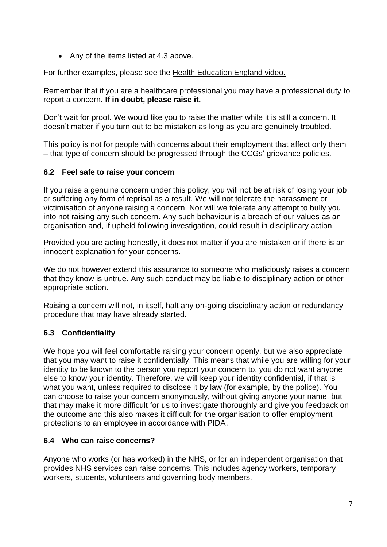• Any of the items listed at 4.3 above.

For further examples, please see the Health [Education](https://www.youtube.com/watch?v=zjau1Ey0di8) England video.

Remember that if you are a healthcare professional you may have a professional duty to report a concern. **If in doubt, please raise it.**

Don't wait for proof. We would like you to raise the matter while it is still a concern. It doesn't matter if you turn out to be mistaken as long as you are genuinely troubled.

This policy is not for people with concerns about their employment that affect only them – that type of concern should be progressed through the CCGs' grievance policies.

# **6.2 Feel safe to raise your concern**

If you raise a genuine concern under this policy, you will not be at risk of losing your job or suffering any form of reprisal as a result. We will not tolerate the harassment or victimisation of anyone raising a concern. Nor will we tolerate any attempt to bully you into not raising any such concern. Any such behaviour is a breach of our values as an organisation and, if upheld following investigation, could result in disciplinary action.

Provided you are acting honestly, it does not matter if you are mistaken or if there is an innocent explanation for your concerns.

We do not however extend this assurance to someone who maliciously raises a concern that they know is untrue. Any such conduct may be liable to disciplinary action or other appropriate action.

Raising a concern will not, in itself, halt any on-going disciplinary action or redundancy procedure that may have already started.

# **6.3 Confidentiality**

We hope you will feel comfortable raising your concern openly, but we also appreciate that you may want to raise it confidentially. This means that while you are willing for your identity to be known to the person you report your concern to, you do not want anyone else to know your identity. Therefore, we will keep your identity confidential, if that is what you want, unless required to disclose it by law (for example, by the police). You can choose to raise your concern anonymously, without giving anyone your name, but that may make it more difficult for us to investigate thoroughly and give you feedback on the outcome and this also makes it difficult for the organisation to offer employment protections to an employee in accordance with PIDA.

# **6.4 Who can raise concerns?**

Anyone who works (or has worked) in the NHS, or for an independent organisation that provides NHS services can raise concerns. This includes agency workers, temporary workers, students, volunteers and governing body members.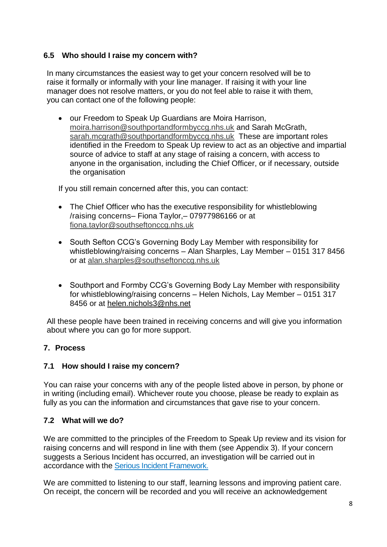#### **6.5 Who should I raise my concern with?**

In many circumstances the easiest way to get your concern resolved will be to raise it formally or informally with your line manager. If raising it with your line manager does not resolve matters, or you do not feel able to raise it with them, you can contact one of the following people:

• our Freedom to Speak Up Guardians are Moira Harrison, [moira.harrison@southportandformbyccg.nhs.uk](mailto:moira.harrison@southportandformbyccg.nhs.uk) and Sarah McGrath, [sarah.mcgrath@southportandformbyccg.nhs.uk](mailto:sarah.mcgrath@southportandformbyccg.nhs.uk) These are important roles identified in the Freedom to Speak Up review to act as an objective and impartial source of advice to staff at any stage of raising a concern, with access to anyone in the organisation, including the Chief Officer, or if necessary, outside the organisation

If you still remain concerned after this, you can contact:

- The Chief Officer who has the executive responsibility for whistleblowing /raising concerns– Fiona Taylor,– 07977986166 or at [fiona.taylor@southseftonccg.nhs.uk](mailto:fiona.taylor@southseftonccg.nhs.uk)
- South Sefton CCG's Governing Body Lay Member with responsibility for whistleblowing/raising concerns – Alan Sharples, Lay Member – 0151 317 8456 or at [alan.sharples@southseftonccg.nhs.uk](mailto:alan.sharples@southseftonccg.nhs.uk)
- Southport and Formby CCG's Governing Body Lay Member with responsibility for whistleblowing/raising concerns – Helen Nichols, Lay Member – 0151 317 8456 or at helen.nichols3@nhs.net

All these people have been trained in receiving concerns and will give you information about where you can go for more support.

#### **7. Process**

#### **7.1 How should I raise my concern?**

You can raise your concerns with any of the people listed above in person, by phone or in writing (including email). Whichever route you choose, please be ready to explain as fully as you can the information and circumstances that gave rise to your concern.

#### **7.2 What will we do?**

We are committed to the principles of the Freedom to Speak Up review and its vision for raising concerns and will respond in line with them (see Appendix 3). If your concern suggests a Serious Incident has occurred, an investigation will be carried out in accordance with the [Serious Incident Framework.](https://improvement.nhs.uk/resources/serious-incident-framework/)

We are committed to listening to our staff, learning lessons and improving patient care. On receipt, the concern will be recorded and you will receive an acknowledgement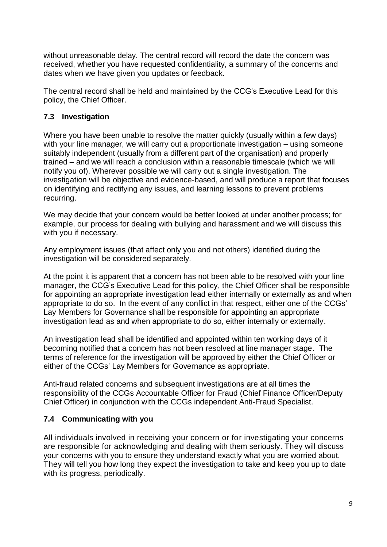without unreasonable delay. The central record will record the date the concern was received, whether you have requested confidentiality, a summary of the concerns and dates when we have given you updates or feedback.

The central record shall be held and maintained by the CCG's Executive Lead for this policy, the Chief Officer.

#### **7.3 Investigation**

Where you have been unable to resolve the matter quickly (usually within a few days) with your line manager, we will carry out a proportionate investigation – using someone suitably independent (usually from a different part of the organisation) and properly trained – and we will reach a conclusion within a reasonable timescale (which we will notify you of). Wherever possible we will carry out a single investigation. The investigation will be objective and evidence-based, and will produce a report that focuses on identifying and rectifying any issues, and learning lessons to prevent problems recurring.

We may decide that your concern would be better looked at under another process; for example, our process for dealing with bullying and harassment and we will discuss this with you if necessary.

Any employment issues (that affect only you and not others) identified during the investigation will be considered separately.

At the point it is apparent that a concern has not been able to be resolved with your line manager, the CCG's Executive Lead for this policy, the Chief Officer shall be responsible for appointing an appropriate investigation lead either internally or externally as and when appropriate to do so. In the event of any conflict in that respect, either one of the CCGs' Lay Members for Governance shall be responsible for appointing an appropriate investigation lead as and when appropriate to do so, either internally or externally.

An investigation lead shall be identified and appointed within ten working days of it becoming notified that a concern has not been resolved at line manager stage. The terms of reference for the investigation will be approved by either the Chief Officer or either of the CCGs' Lay Members for Governance as appropriate.

Anti-fraud related concerns and subsequent investigations are at all times the responsibility of the CCGs Accountable Officer for Fraud (Chief Finance Officer/Deputy Chief Officer) in conjunction with the CCGs independent Anti-Fraud Specialist.

#### **7.4 Communicating with you**

All individuals involved in receiving your concern or for investigating your concerns are responsible for acknowledging and dealing with them seriously. They will discuss your concerns with you to ensure they understand exactly what you are worried about. They will tell you how long they expect the investigation to take and keep you up to date with its progress, periodically.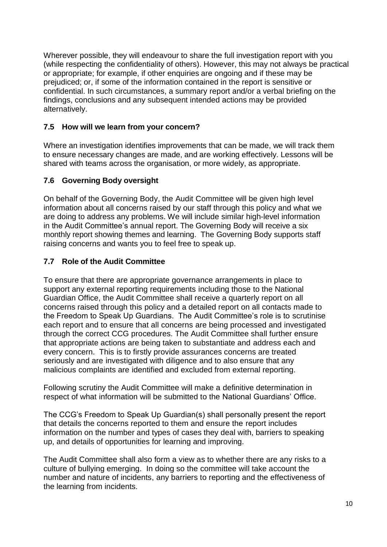Wherever possible, they will endeavour to share the full investigation report with you (while respecting the confidentiality of others). However, this may not always be practical or appropriate; for example, if other enquiries are ongoing and if these may be prejudiced; or, if some of the information contained in the report is sensitive or confidential. In such circumstances, a summary report and/or a verbal briefing on the findings, conclusions and any subsequent intended actions may be provided alternatively.

# **7.5 How will we learn from your concern?**

Where an investigation identifies improvements that can be made, we will track them to ensure necessary changes are made, and are working effectively. Lessons will be shared with teams across the organisation, or more widely, as appropriate.

# **7.6 Governing Body oversight**

On behalf of the Governing Body, the Audit Committee will be given high level information about all concerns raised by our staff through this policy and what we are doing to address any problems. We will include similar high-level information in the Audit Committee's annual report. The Governing Body will receive a six monthly report showing themes and learning. The Governing Body supports staff raising concerns and wants you to feel free to speak up.

# **7.7 Role of the Audit Committee**

To ensure that there are appropriate governance arrangements in place to support any external reporting requirements including those to the National Guardian Office, the Audit Committee shall receive a quarterly report on all concerns raised through this policy and a detailed report on all contacts made to the Freedom to Speak Up Guardians. The Audit Committee's role is to scrutinise each report and to ensure that all concerns are being processed and investigated through the correct CCG procedures. The Audit Committee shall further ensure that appropriate actions are being taken to substantiate and address each and every concern. This is to firstly provide assurances concerns are treated seriously and are investigated with diligence and to also ensure that any malicious complaints are identified and excluded from external reporting.

Following scrutiny the Audit Committee will make a definitive determination in respect of what information will be submitted to the National Guardians' Office.

The CCG's Freedom to Speak Up Guardian(s) shall personally present the report that details the concerns reported to them and ensure the report includes information on the number and types of cases they deal with, barriers to speaking up, and details of opportunities for learning and improving.

The Audit Committee shall also form a view as to whether there are any risks to a culture of bullying emerging. In doing so the committee will take account the number and nature of incidents, any barriers to reporting and the effectiveness of the learning from incidents.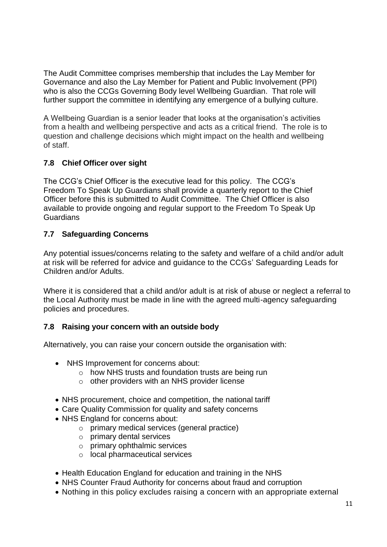The Audit Committee comprises membership that includes the Lay Member for Governance and also the Lay Member for Patient and Public Involvement (PPI) who is also the CCGs Governing Body level Wellbeing Guardian. That role will further support the committee in identifying any emergence of a bullying culture.

A Wellbeing Guardian is a senior leader that looks at the organisation's activities from a health and wellbeing perspective and acts as a critical friend. The role is to question and challenge decisions which might impact on the health and wellbeing of staff.

# **7.8 Chief Officer over sight**

The CCG's Chief Officer is the executive lead for this policy. The CCG's Freedom To Speak Up Guardians shall provide a quarterly report to the Chief Officer before this is submitted to Audit Committee. The Chief Officer is also available to provide ongoing and regular support to the Freedom To Speak Up **Guardians** 

# **7.7 Safeguarding Concerns**

Any potential issues/concerns relating to the safety and welfare of a child and/or adult at risk will be referred for advice and guidance to the CCGs' Safeguarding Leads for Children and/or Adults.

Where it is considered that a child and/or adult is at risk of abuse or neglect a referral to the Local Authority must be made in line with the agreed multi-agency safeguarding policies and procedures.

# **7.8 Raising your concern with an outside body**

Alternatively, you can raise your concern outside the organisation with:

- [NHS](https://www.gov.uk/government/organisations/monitor/about/complaints-procedure) Improvement for concerns about:
	- o how NHS trusts and foundation trusts are being run
	- o other [providers with an](https://www.gov.uk/government/uploads/system/uploads/attachment_data/file/441473/REGISTER_OF_LICENCE_HOLDERS_-_01072015.csv/preview) NHS provider license
- NHS procurement, choice and competition, the national tariff
- [Care Quality](http://www.cqc.org.uk/content/who-we-are) Commission for quality and safety concerns
- [NHS England f](http://www.england.nhs.uk/)or concerns about:
	- o primary medical services (general practice)
	- o primary dental services
	- o primary ophthalmic services
	- o local pharmaceutical services
- [Health Education](https://hee.nhs.uk/about/how-we-work/what-we-do/) England for education and training in the NHS
- [NHS Counter Fraud Authority](http://www.nhsbsa.nhs.uk/3350.aspx) for concerns about fraud and corruption
- Nothing in this policy excludes raising a concern with an appropriate external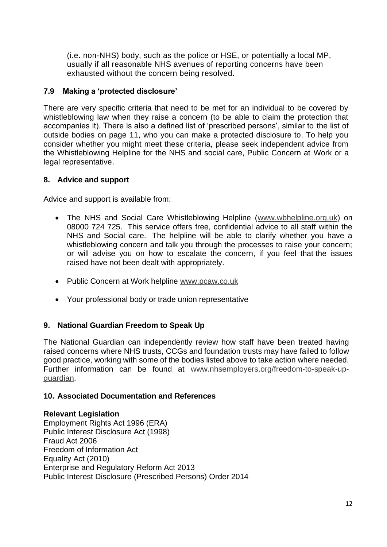(i.e. non-NHS) body, such as the police or HSE, or potentially a local MP, usually if all reasonable NHS avenues of reporting concerns have been exhausted without the concern being resolved.

# **7.9 Making a 'protected disclosure'**

There are very specific criteria that need to be met for an individual to be covered by whistleblowing law when they raise a concern (to be able to claim the protection that accompanies it). There is also a defined list of 'prescribed persons', similar to the list of outside bodies on page 11, who you can make a protected disclosure to. To help you consider whether you might meet these criteria, please seek independent advice from the Whistleblowing Helpline for the NHS and social care, Public Concern at Work or a legal representative.

#### **8. Advice and support**

Advice and support is available from:

- The NHS and Social Care Whistleblowing Helpline [\(www.wbhelpline.org.uk\)](http://www.wbhelpline.org.uk/) on 08000 724 725. This service offers free, confidential advice to all staff within the NHS and Social care. The helpline will be able to clarify whether you have a whistleblowing concern and talk you through the processes to raise your concern; or will advise you on how to escalate the concern, if you feel that the issues raised have not been dealt with appropriately.
- Public Concern at Work helpline [www.pcaw.co.uk](http://www.pcaw.co.uk/)
- Your professional body or trade union representative

# **9. National Guardian Freedom to Speak Up**

The National Guardian can independently review how staff have been treated having raised concerns where NHS trusts, CCGs and foundation trusts may have failed to follow good practice, working with some of the bodies listed above to take action where needed. Further information can be found at [www.nhsemployers.org/freedom-to-speak-up](http://www.nhsemployers.org/freedom-to-speak-up-guardian)[guardian.](http://www.nhsemployers.org/freedom-to-speak-up-guardian)

#### **10. Associated Documentation and References**

#### **Relevant Legislation**

Employment Rights Act 1996 (ERA) Public Interest Disclosure Act (1998) Fraud Act 2006 Freedom of Information Act Equality Act (2010) Enterprise and Regulatory Reform Act 2013 Public Interest Disclosure (Prescribed Persons) Order 2014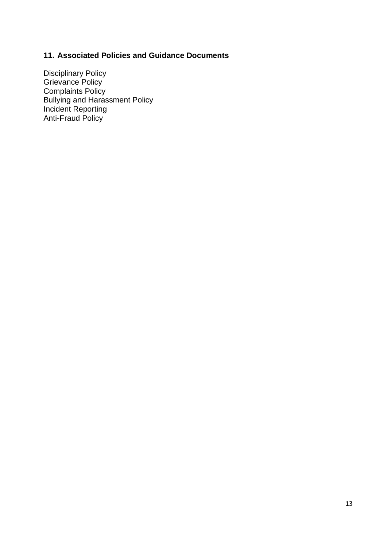# **11. Associated Policies and Guidance Documents**

Disciplinary Policy Grievance Policy Complaints Policy Bullying and Harassment Policy Incident Reporting Anti-Fraud Policy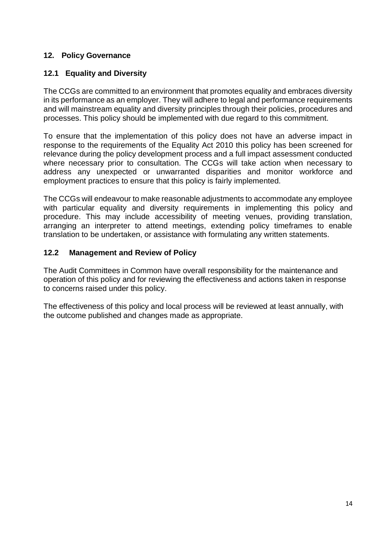#### **12. Policy Governance**

# **12.1 Equality and Diversity**

The CCGs are committed to an environment that promotes equality and embraces diversity in its performance as an employer. They will adhere to legal and performance requirements and will mainstream equality and diversity principles through their policies, procedures and processes. This policy should be implemented with due regard to this commitment.

To ensure that the implementation of this policy does not have an adverse impact in response to the requirements of the Equality Act 2010 this policy has been screened for relevance during the policy development process and a full impact assessment conducted where necessary prior to consultation. The CCGs will take action when necessary to address any unexpected or unwarranted disparities and monitor workforce and employment practices to ensure that this policy is fairly implemented.

The CCGs will endeavour to make reasonable adjustments to accommodate any employee with particular equality and diversity requirements in implementing this policy and procedure. This may include accessibility of meeting venues, providing translation, arranging an interpreter to attend meetings, extending policy timeframes to enable translation to be undertaken, or assistance with formulating any written statements.

#### **12.2 Management and Review of Policy**

The Audit Committees in Common have overall responsibility for the maintenance and operation of this policy and for reviewing the effectiveness and actions taken in response to concerns raised under this policy.

The effectiveness of this policy and local process will be reviewed at least annually, with the outcome published and changes made as appropriate.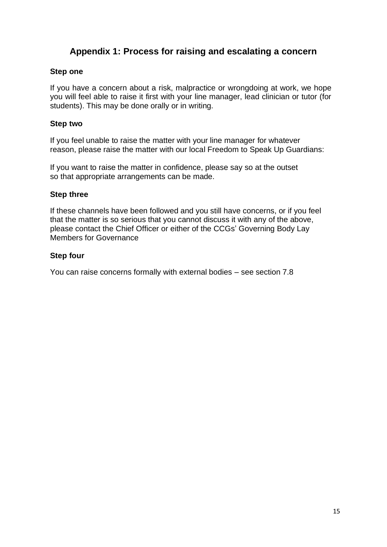# **Appendix 1: Process for raising and escalating a concern**

#### **Step one**

If you have a concern about a risk, malpractice or wrongdoing at work, we hope you will feel able to raise it first with your line manager, lead clinician or tutor (for students). This may be done orally or in writing.

#### **Step two**

If you feel unable to raise the matter with your line manager for whatever reason, please raise the matter with our local Freedom to Speak Up Guardians:

If you want to raise the matter in confidence, please say so at the outset so that appropriate arrangements can be made.

#### **Step three**

If these channels have been followed and you still have concerns, or if you feel that the matter is so serious that you cannot discuss it with any of the above, please contact the Chief Officer or either of the CCGs' Governing Body Lay Members for Governance

#### **Step four**

You can raise concerns formally with external bodies – see section 7.8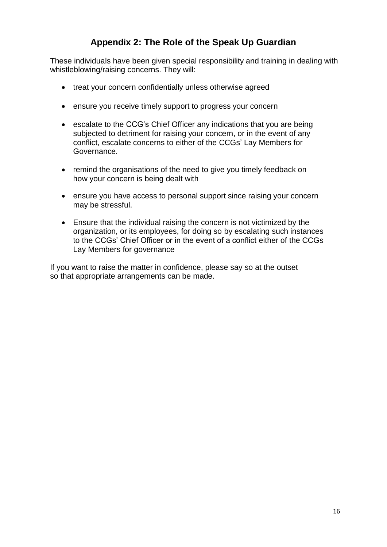# **Appendix 2: The Role of the Speak Up Guardian**

These individuals have been given special responsibility and training in dealing with whistleblowing/raising concerns. They will:

- treat your concern confidentially unless otherwise agreed
- ensure you receive timely support to progress your concern
- escalate to the CCG's Chief Officer any indications that you are being subjected to detriment for raising your concern, or in the event of any conflict, escalate concerns to either of the CCGs' Lay Members for Governance.
- remind the organisations of the need to give you timely feedback on how your concern is being dealt with
- ensure you have access to personal support since raising your concern may be stressful.
- Ensure that the individual raising the concern is not victimized by the organization, or its employees, for doing so by escalating such instances to the CCGs' Chief Officer or in the event of a conflict either of the CCGs Lay Members for governance

If you want to raise the matter in confidence, please say so at the outset so that appropriate arrangements can be made.